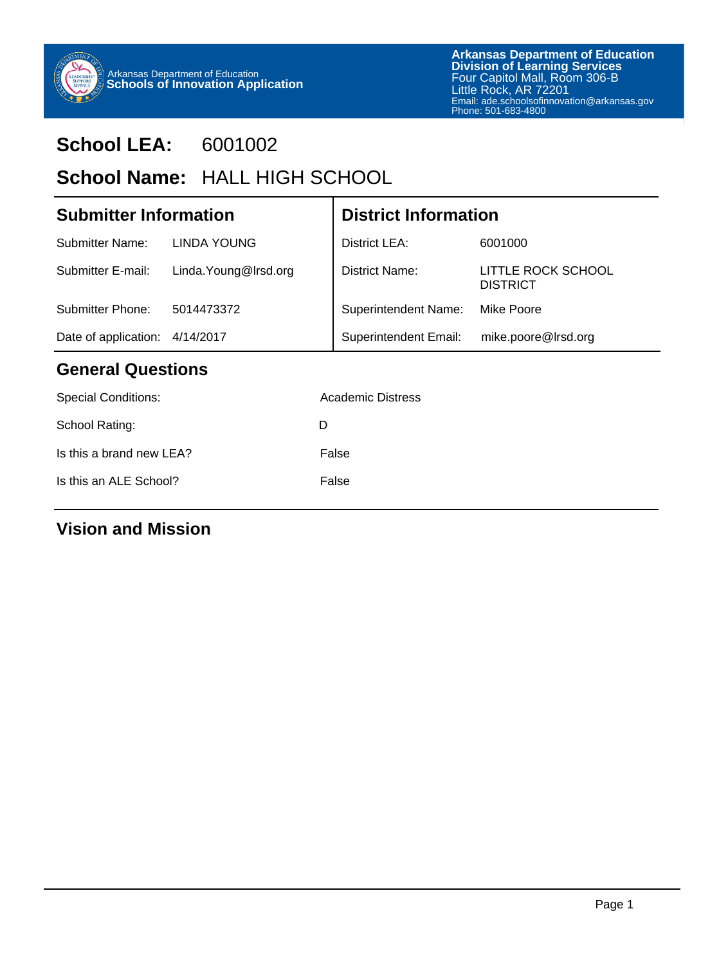

## **School LEA:** 6001002

## School Name: HALL HIGH SCHOOL

| <b>Submitter Information</b> |                       |  | <b>District Information</b>  |                                       |  |
|------------------------------|-----------------------|--|------------------------------|---------------------------------------|--|
| Submitter Name:              | <b>LINDA YOUNG</b>    |  | District LEA:                | 6001000                               |  |
| Submitter E-mail:            | Linda. Young@Irsd.org |  | District Name:               | LITTLE ROCK SCHOOL<br><b>DISTRICT</b> |  |
| Submitter Phone:             | 5014473372            |  | <b>Superintendent Name:</b>  | Mike Poore                            |  |
| Date of application:         | 4/14/2017             |  | <b>Superintendent Email:</b> | mike.poore@Irsd.org                   |  |
| <b>General Questions</b>     |                       |  |                              |                                       |  |
| <b>Special Conditions:</b>   |                       |  | <b>Academic Distress</b>     |                                       |  |
| School Rating:<br>D          |                       |  |                              |                                       |  |
| Is this a brand new LEA?     |                       |  | False                        |                                       |  |
| Is this an ALE School?       |                       |  | False                        |                                       |  |

## **Vision and Mission**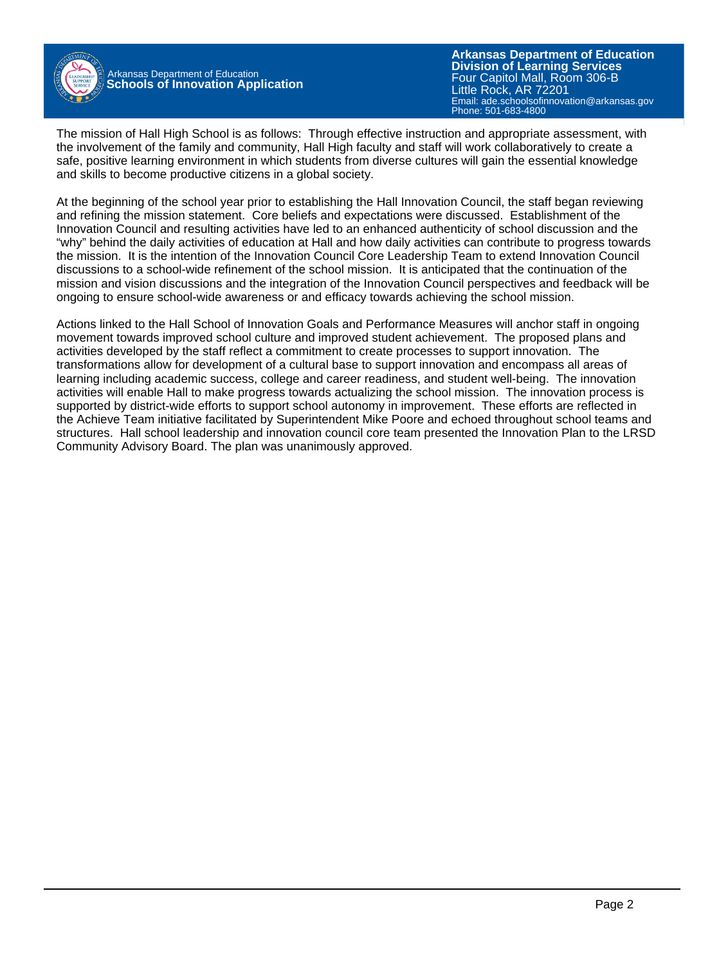

**Arkansas Department of Education** Email: ade.schoolsofinnovation@arkansas.gov **Division of Learning Services** Four Capitol Mall, Room 306-B Little Rock, AR 72201 Phone: 501-683-4800

The mission of Hall High School is as follows: Through effective instruction and appropriate assessment, with the involvement of the family and community, Hall High faculty and staff will work collaboratively to create a safe, positive learning environment in which students from diverse cultures will gain the essential knowledge and skills to become productive citizens in a global society.

At the beginning of the school year prior to establishing the Hall Innovation Council, the staff began reviewing and refining the mission statement. Core beliefs and expectations were discussed. Establishment of the Innovation Council and resulting activities have led to an enhanced authenticity of school discussion and the "why" behind the daily activities of education at Hall and how daily activities can contribute to progress towards the mission. It is the intention of the Innovation Council Core Leadership Team to extend Innovation Council discussions to a school-wide refinement of the school mission. It is anticipated that the continuation of the mission and vision discussions and the integration of the Innovation Council perspectives and feedback will be ongoing to ensure school-wide awareness or and efficacy towards achieving the school mission.

Actions linked to the Hall School of Innovation Goals and Performance Measures will anchor staff in ongoing movement towards improved school culture and improved student achievement. The proposed plans and activities developed by the staff reflect a commitment to create processes to support innovation. The transformations allow for development of a cultural base to support innovation and encompass all areas of learning including academic success, college and career readiness, and student well-being. The innovation activities will enable Hall to make progress towards actualizing the school mission. The innovation process is supported by district-wide efforts to support school autonomy in improvement. These efforts are reflected in the Achieve Team initiative facilitated by Superintendent Mike Poore and echoed throughout school teams and structures. Hall school leadership and innovation council core team presented the Innovation Plan to the LRSD Community Advisory Board. The plan was unanimously approved.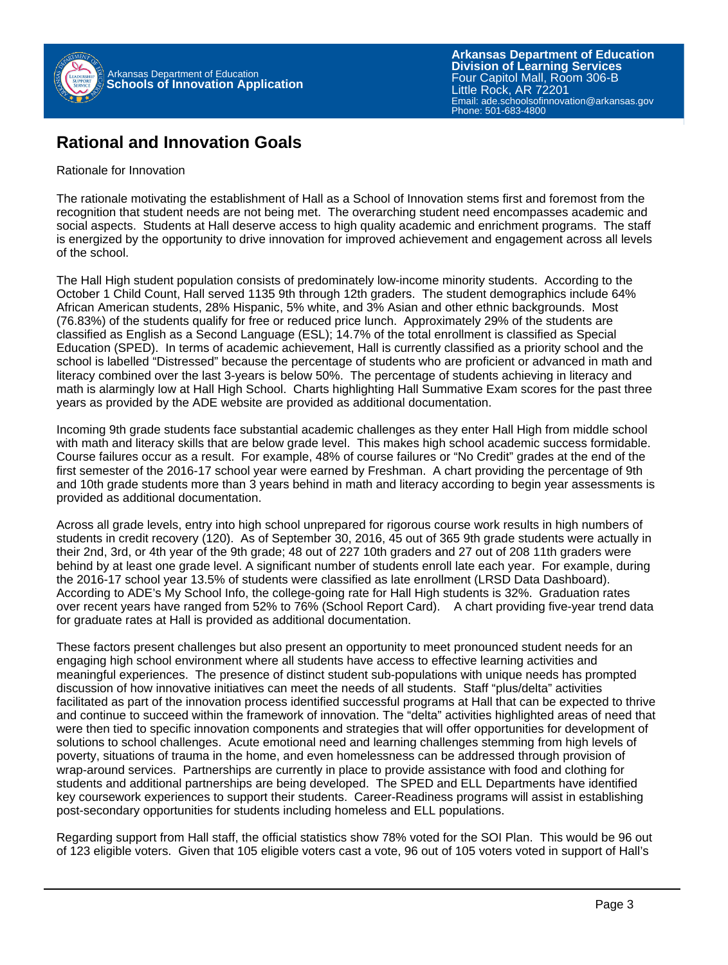

### **Rational and Innovation Goals**

#### Rationale for Innovation

The rationale motivating the establishment of Hall as a School of Innovation stems first and foremost from the recognition that student needs are not being met. The overarching student need encompasses academic and social aspects. Students at Hall deserve access to high quality academic and enrichment programs. The staff is energized by the opportunity to drive innovation for improved achievement and engagement across all levels of the school.

The Hall High student population consists of predominately low-income minority students. According to the October 1 Child Count, Hall served 1135 9th through 12th graders. The student demographics include 64% African American students, 28% Hispanic, 5% white, and 3% Asian and other ethnic backgrounds. Most (76.83%) of the students qualify for free or reduced price lunch. Approximately 29% of the students are classified as English as a Second Language (ESL); 14.7% of the total enrollment is classified as Special Education (SPED). In terms of academic achievement, Hall is currently classified as a priority school and the school is labelled "Distressed" because the percentage of students who are proficient or advanced in math and literacy combined over the last 3-years is below 50%. The percentage of students achieving in literacy and math is alarmingly low at Hall High School. Charts highlighting Hall Summative Exam scores for the past three years as provided by the ADE website are provided as additional documentation.

Incoming 9th grade students face substantial academic challenges as they enter Hall High from middle school with math and literacy skills that are below grade level. This makes high school academic success formidable. Course failures occur as a result. For example, 48% of course failures or "No Credit" grades at the end of the first semester of the 2016-17 school year were earned by Freshman. A chart providing the percentage of 9th and 10th grade students more than 3 years behind in math and literacy according to begin year assessments is provided as additional documentation.

Across all grade levels, entry into high school unprepared for rigorous course work results in high numbers of students in credit recovery (120). As of September 30, 2016, 45 out of 365 9th grade students were actually in their 2nd, 3rd, or 4th year of the 9th grade; 48 out of 227 10th graders and 27 out of 208 11th graders were behind by at least one grade level. A significant number of students enroll late each year. For example, during the 2016-17 school year 13.5% of students were classified as late enrollment (LRSD Data Dashboard). According to ADE's My School Info, the college-going rate for Hall High students is 32%. Graduation rates over recent years have ranged from 52% to 76% (School Report Card). A chart providing five-year trend data for graduate rates at Hall is provided as additional documentation.

These factors present challenges but also present an opportunity to meet pronounced student needs for an engaging high school environment where all students have access to effective learning activities and meaningful experiences. The presence of distinct student sub-populations with unique needs has prompted discussion of how innovative initiatives can meet the needs of all students. Staff "plus/delta" activities facilitated as part of the innovation process identified successful programs at Hall that can be expected to thrive and continue to succeed within the framework of innovation. The "delta" activities highlighted areas of need that were then tied to specific innovation components and strategies that will offer opportunities for development of solutions to school challenges. Acute emotional need and learning challenges stemming from high levels of poverty, situations of trauma in the home, and even homelessness can be addressed through provision of wrap-around services. Partnerships are currently in place to provide assistance with food and clothing for students and additional partnerships are being developed. The SPED and ELL Departments have identified key coursework experiences to support their students. Career-Readiness programs will assist in establishing post-secondary opportunities for students including homeless and ELL populations.

Regarding support from Hall staff, the official statistics show 78% voted for the SOI Plan. This would be 96 out of 123 eligible voters. Given that 105 eligible voters cast a vote, 96 out of 105 voters voted in support of Hall's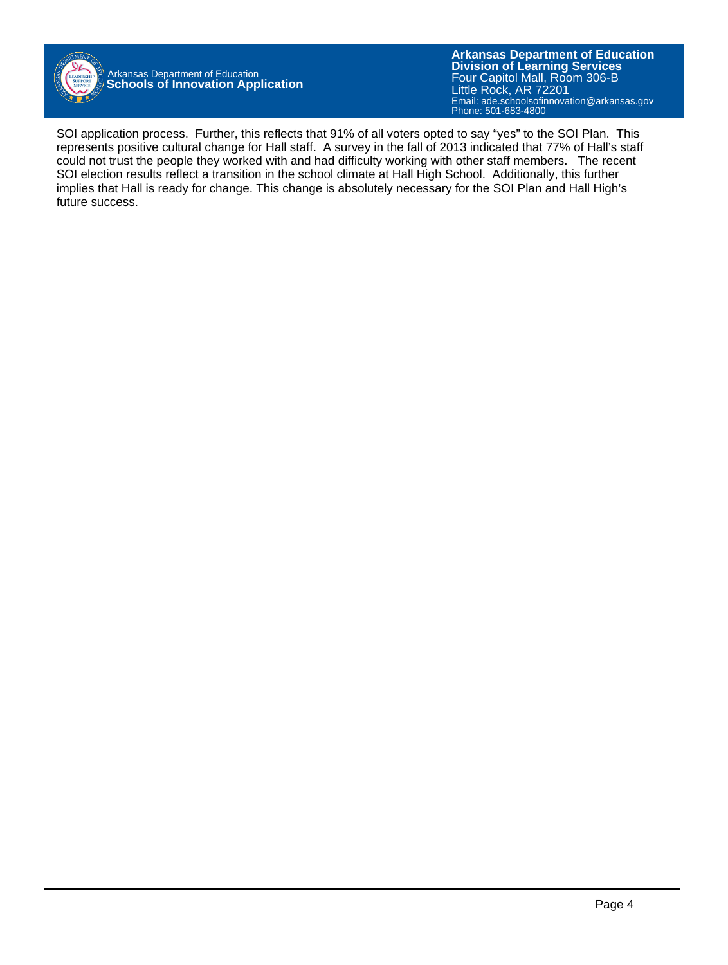

SOI application process. Further, this reflects that 91% of all voters opted to say "yes" to the SOI Plan. This represents positive cultural change for Hall staff. A survey in the fall of 2013 indicated that 77% of Hall's staff could not trust the people they worked with and had difficulty working with other staff members. The recent SOI election results reflect a transition in the school climate at Hall High School. Additionally, this further implies that Hall is ready for change. This change is absolutely necessary for the SOI Plan and Hall High's future success.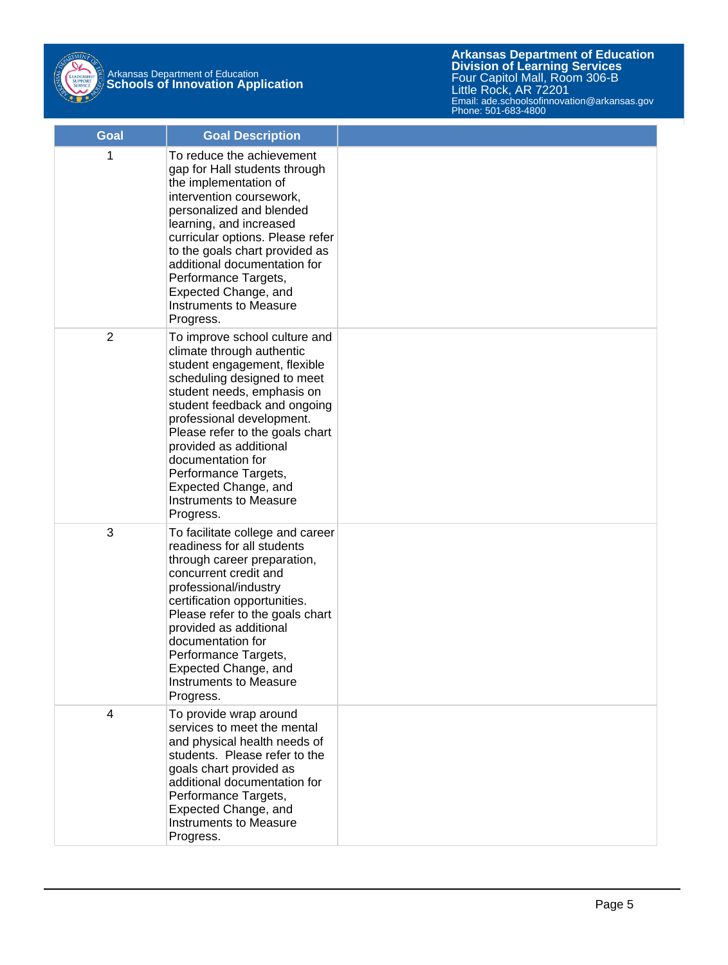

| Goal           | <b>Goal Description</b>                                                                                                                                                                                                                                                                                                                                                                       |  |
|----------------|-----------------------------------------------------------------------------------------------------------------------------------------------------------------------------------------------------------------------------------------------------------------------------------------------------------------------------------------------------------------------------------------------|--|
| 1              | To reduce the achievement<br>gap for Hall students through<br>the implementation of<br>intervention coursework,<br>personalized and blended<br>learning, and increased<br>curricular options. Please refer<br>to the goals chart provided as<br>additional documentation for<br>Performance Targets,<br>Expected Change, and<br>Instruments to Measure<br>Progress.                           |  |
| $\overline{2}$ | To improve school culture and<br>climate through authentic<br>student engagement, flexible<br>scheduling designed to meet<br>student needs, emphasis on<br>student feedback and ongoing<br>professional development.<br>Please refer to the goals chart<br>provided as additional<br>documentation for<br>Performance Targets,<br>Expected Change, and<br>Instruments to Measure<br>Progress. |  |
| 3              | To facilitate college and career<br>readiness for all students<br>through career preparation,<br>concurrent credit and<br>professional/industry<br>certification opportunities.<br>Please refer to the goals chart<br>provided as additional<br>documentation for<br>Performance Targets,<br>Expected Change, and<br>Instruments to Measure<br>Progress.                                      |  |
| 4              | To provide wrap around<br>services to meet the mental<br>and physical health needs of<br>students. Please refer to the<br>goals chart provided as<br>additional documentation for<br>Performance Targets,<br>Expected Change, and<br><b>Instruments to Measure</b><br>Progress.                                                                                                               |  |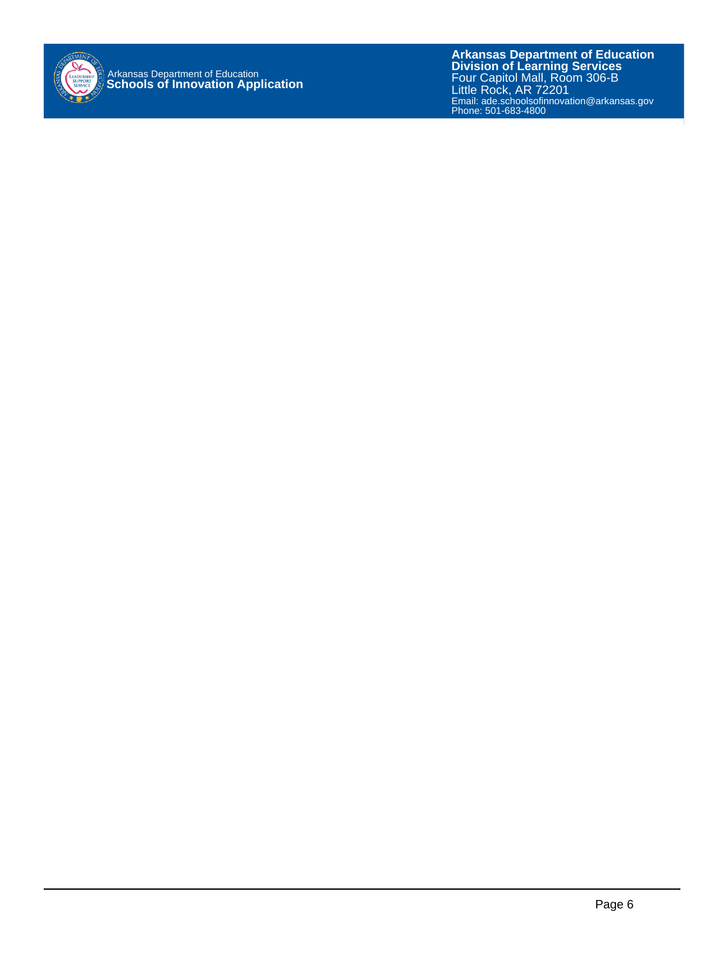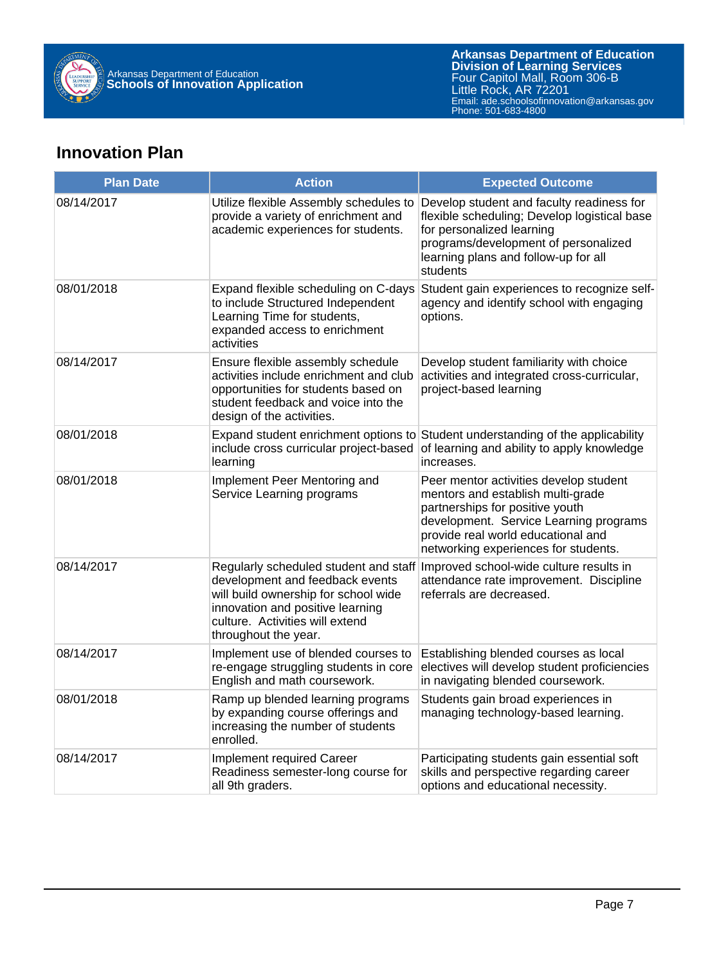

## **Innovation Plan**

| <b>Plan Date</b> | <b>Action</b>                                                                                                                                                                                                   | <b>Expected Outcome</b>                                                                                                                                                                                                                |  |  |
|------------------|-----------------------------------------------------------------------------------------------------------------------------------------------------------------------------------------------------------------|----------------------------------------------------------------------------------------------------------------------------------------------------------------------------------------------------------------------------------------|--|--|
| 08/14/2017       | Utilize flexible Assembly schedules to<br>provide a variety of enrichment and<br>academic experiences for students.                                                                                             | Develop student and faculty readiness for<br>flexible scheduling; Develop logistical base<br>for personalized learning<br>programs/development of personalized<br>learning plans and follow-up for all<br>students                     |  |  |
| 08/01/2018       | Expand flexible scheduling on C-days<br>to include Structured Independent<br>Learning Time for students,<br>expanded access to enrichment<br>activities                                                         | Student gain experiences to recognize self-<br>agency and identify school with engaging<br>options.                                                                                                                                    |  |  |
| 08/14/2017       | Ensure flexible assembly schedule<br>activities include enrichment and club<br>opportunities for students based on<br>student feedback and voice into the<br>design of the activities.                          | Develop student familiarity with choice<br>activities and integrated cross-curricular,<br>project-based learning                                                                                                                       |  |  |
| 08/01/2018       | include cross curricular project-based<br>learning                                                                                                                                                              | Expand student enrichment options to Student understanding of the applicability<br>of learning and ability to apply knowledge<br>increases.                                                                                            |  |  |
| 08/01/2018       | Implement Peer Mentoring and<br>Service Learning programs                                                                                                                                                       | Peer mentor activities develop student<br>mentors and establish multi-grade<br>partnerships for positive youth<br>development. Service Learning programs<br>provide real world educational and<br>networking experiences for students. |  |  |
| 08/14/2017       | Regularly scheduled student and staff<br>development and feedback events<br>will build ownership for school wide<br>innovation and positive learning<br>culture. Activities will extend<br>throughout the year. | Improved school-wide culture results in<br>attendance rate improvement. Discipline<br>referrals are decreased.                                                                                                                         |  |  |
| 08/14/2017       | Implement use of blended courses to<br>re-engage struggling students in core<br>English and math coursework.                                                                                                    | Establishing blended courses as local<br>electives will develop student proficiencies<br>in navigating blended coursework.                                                                                                             |  |  |
| 08/01/2018       | Ramp up blended learning programs<br>by expanding course offerings and<br>increasing the number of students<br>enrolled.                                                                                        | Students gain broad experiences in<br>managing technology-based learning.                                                                                                                                                              |  |  |
| 08/14/2017       | Implement required Career<br>Readiness semester-long course for<br>all 9th graders.                                                                                                                             | Participating students gain essential soft<br>skills and perspective regarding career<br>options and educational necessity.                                                                                                            |  |  |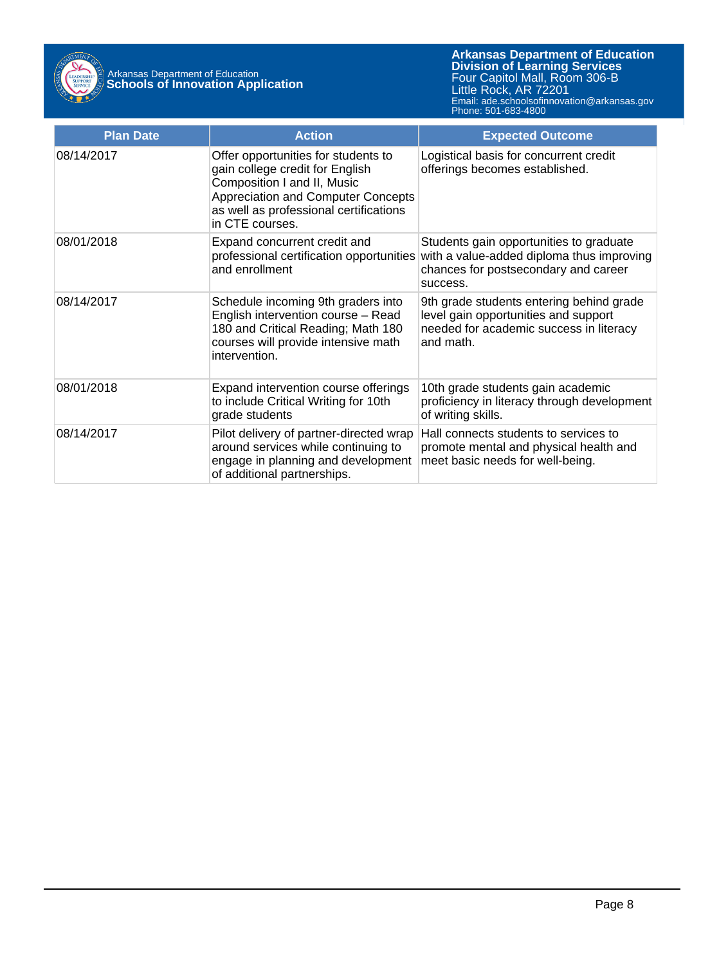

| <b>Plan Date</b> | <b>Action</b>                                                                                                                                                                                            | <b>Expected Outcome</b>                                                                                                                  |
|------------------|----------------------------------------------------------------------------------------------------------------------------------------------------------------------------------------------------------|------------------------------------------------------------------------------------------------------------------------------------------|
| 08/14/2017       | Offer opportunities for students to<br>gain college credit for English<br>Composition I and II, Music<br>Appreciation and Computer Concepts<br>as well as professional certifications<br>in CTE courses. | Logistical basis for concurrent credit<br>offerings becomes established.                                                                 |
| 08/01/2018       | Expand concurrent credit and<br>professional certification opportunities<br>and enrollment                                                                                                               | Students gain opportunities to graduate<br>with a value-added diploma thus improving<br>chances for postsecondary and career<br>success. |
| 08/14/2017       | Schedule incoming 9th graders into<br>English intervention course - Read<br>180 and Critical Reading; Math 180<br>courses will provide intensive math<br>intervention.                                   | 9th grade students entering behind grade<br>level gain opportunities and support<br>needed for academic success in literacy<br>and math. |
| 08/01/2018       | Expand intervention course offerings<br>to include Critical Writing for 10th<br>grade students                                                                                                           | 10th grade students gain academic<br>proficiency in literacy through development<br>of writing skills.                                   |
| 08/14/2017       | Pilot delivery of partner-directed wrap<br>around services while continuing to<br>engage in planning and development<br>of additional partnerships.                                                      | Hall connects students to services to<br>promote mental and physical health and<br>meet basic needs for well-being.                      |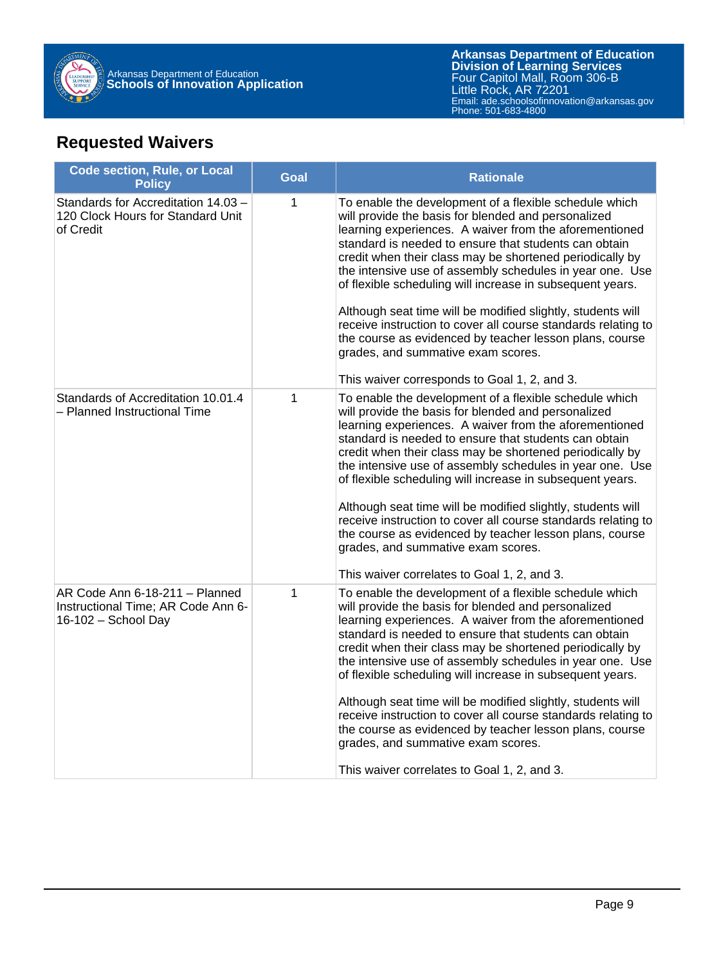

### **Requested Waivers**

| <b>Code section, Rule, or Local</b><br><b>Policy</b>                                        | <b>Goal</b>  | <b>Rationale</b>                                                                                                                                                                                                                                                                                                                                                                                                                                                                                                                                                                                                                                                                                       |
|---------------------------------------------------------------------------------------------|--------------|--------------------------------------------------------------------------------------------------------------------------------------------------------------------------------------------------------------------------------------------------------------------------------------------------------------------------------------------------------------------------------------------------------------------------------------------------------------------------------------------------------------------------------------------------------------------------------------------------------------------------------------------------------------------------------------------------------|
| Standards for Accreditation 14.03 -<br>120 Clock Hours for Standard Unit<br>of Credit       | $\mathbf 1$  | To enable the development of a flexible schedule which<br>will provide the basis for blended and personalized<br>learning experiences. A waiver from the aforementioned<br>standard is needed to ensure that students can obtain<br>credit when their class may be shortened periodically by<br>the intensive use of assembly schedules in year one. Use<br>of flexible scheduling will increase in subsequent years.<br>Although seat time will be modified slightly, students will<br>receive instruction to cover all course standards relating to<br>the course as evidenced by teacher lesson plans, course<br>grades, and summative exam scores.<br>This waiver corresponds to Goal 1, 2, and 3. |
| Standards of Accreditation 10.01.4<br>- Planned Instructional Time                          | $\mathbf{1}$ | To enable the development of a flexible schedule which<br>will provide the basis for blended and personalized<br>learning experiences. A waiver from the aforementioned<br>standard is needed to ensure that students can obtain<br>credit when their class may be shortened periodically by<br>the intensive use of assembly schedules in year one. Use<br>of flexible scheduling will increase in subsequent years.<br>Although seat time will be modified slightly, students will<br>receive instruction to cover all course standards relating to<br>the course as evidenced by teacher lesson plans, course<br>grades, and summative exam scores.<br>This waiver correlates to Goal 1, 2, and 3.  |
| AR Code Ann 6-18-211 - Planned<br>Instructional Time; AR Code Ann 6-<br>16-102 - School Day | $\mathbf{1}$ | To enable the development of a flexible schedule which<br>will provide the basis for blended and personalized<br>learning experiences. A waiver from the aforementioned<br>standard is needed to ensure that students can obtain<br>credit when their class may be shortened periodically by<br>the intensive use of assembly schedules in year one. Use<br>of flexible scheduling will increase in subsequent years.<br>Although seat time will be modified slightly, students will<br>receive instruction to cover all course standards relating to<br>the course as evidenced by teacher lesson plans, course<br>grades, and summative exam scores.<br>This waiver correlates to Goal 1, 2, and 3.  |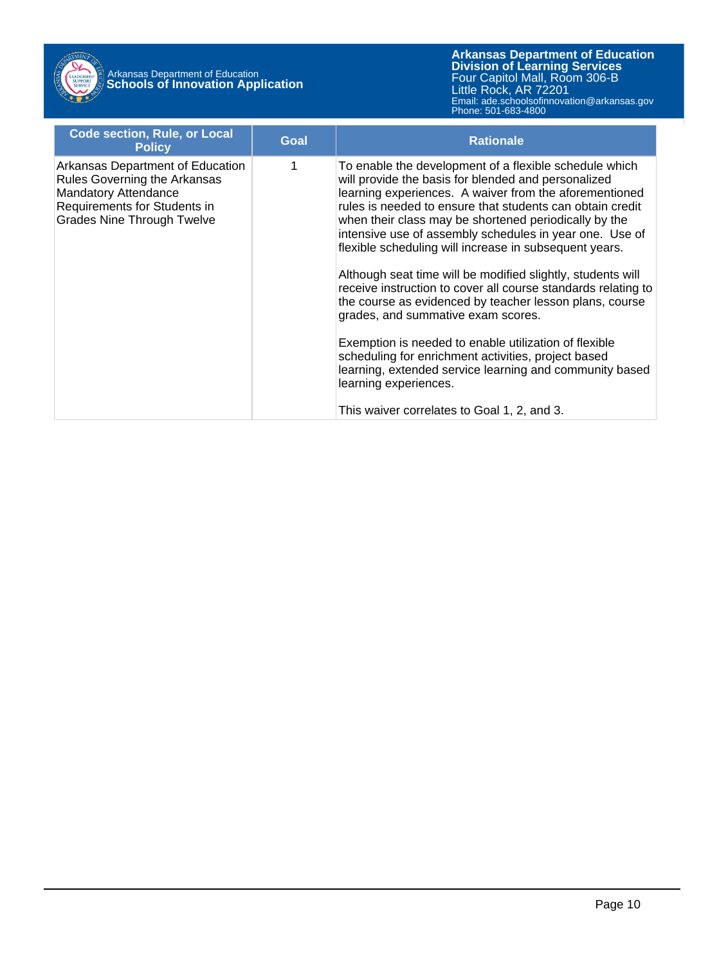

| <b>Code section, Rule, or Local</b><br><b>Policy</b>                                                                                                                 | Goal | <b>Rationale</b>                                                                                                                                                                                                                                                                                                                                                                                                                                                                                                                                                                                                                                                                                                                                                                                                                                                                                       |
|----------------------------------------------------------------------------------------------------------------------------------------------------------------------|------|--------------------------------------------------------------------------------------------------------------------------------------------------------------------------------------------------------------------------------------------------------------------------------------------------------------------------------------------------------------------------------------------------------------------------------------------------------------------------------------------------------------------------------------------------------------------------------------------------------------------------------------------------------------------------------------------------------------------------------------------------------------------------------------------------------------------------------------------------------------------------------------------------------|
| Arkansas Department of Education<br>Rules Governing the Arkansas<br><b>Mandatory Attendance</b><br>Requirements for Students in<br><b>Grades Nine Through Twelve</b> | 1    | To enable the development of a flexible schedule which<br>will provide the basis for blended and personalized<br>learning experiences. A waiver from the aforementioned<br>rules is needed to ensure that students can obtain credit<br>when their class may be shortened periodically by the<br>intensive use of assembly schedules in year one. Use of<br>flexible scheduling will increase in subsequent years.<br>Although seat time will be modified slightly, students will<br>receive instruction to cover all course standards relating to<br>the course as evidenced by teacher lesson plans, course<br>grades, and summative exam scores.<br>Exemption is needed to enable utilization of flexible<br>scheduling for enrichment activities, project based<br>learning, extended service learning and community based<br>learning experiences.<br>This waiver correlates to Goal 1, 2, and 3. |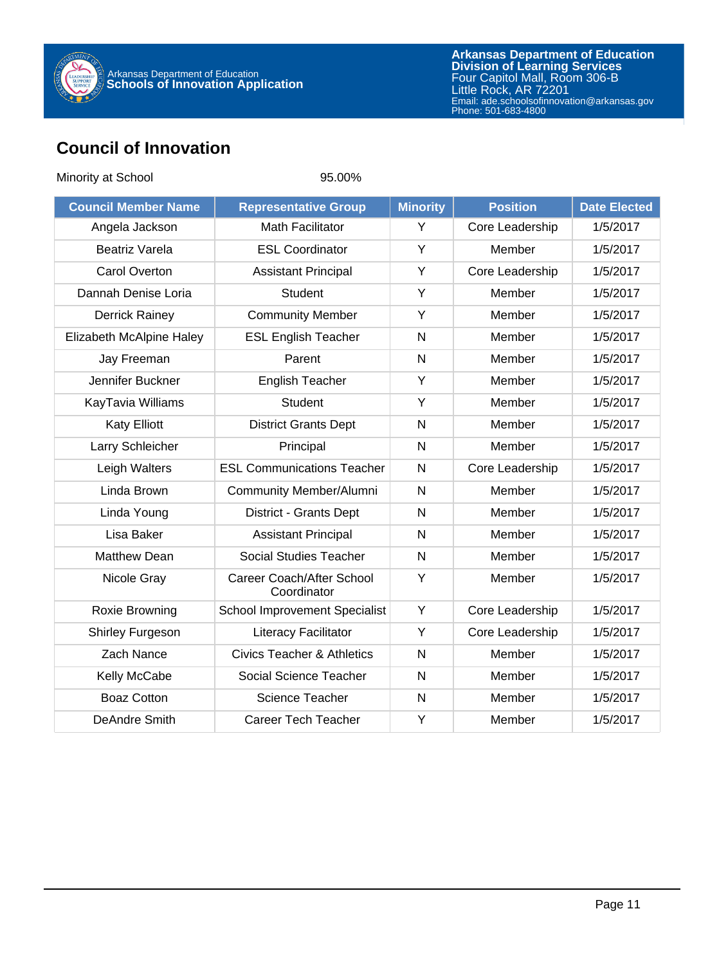

### **Council of Innovation**

| Minority at School         | 95.00%                                   |                 |                 |                     |
|----------------------------|------------------------------------------|-----------------|-----------------|---------------------|
| <b>Council Member Name</b> | <b>Representative Group</b>              | <b>Minority</b> | <b>Position</b> | <b>Date Elected</b> |
| Angela Jackson             | Math Facilitator                         | Y               | Core Leadership | 1/5/2017            |
| <b>Beatriz Varela</b>      | <b>ESL Coordinator</b>                   | Y               | Member          | 1/5/2017            |
| <b>Carol Overton</b>       | <b>Assistant Principal</b>               | Y               | Core Leadership | 1/5/2017            |
| Dannah Denise Loria        | <b>Student</b>                           | Y               | Member          | 1/5/2017            |
| <b>Derrick Rainey</b>      | <b>Community Member</b>                  | Y               | Member          | 1/5/2017            |
| Elizabeth McAlpine Haley   | <b>ESL English Teacher</b>               | $\mathsf{N}$    | Member          | 1/5/2017            |
| Jay Freeman                | Parent                                   | N               | Member          | 1/5/2017            |
| Jennifer Buckner           | <b>English Teacher</b>                   | Y               | Member          | 1/5/2017            |
| KayTavia Williams          | <b>Student</b>                           | Y               | Member          | 1/5/2017            |
| <b>Katy Elliott</b>        | <b>District Grants Dept</b>              | N               | Member          | 1/5/2017            |
| Larry Schleicher           | Principal                                | N               | Member          | 1/5/2017            |
| Leigh Walters              | <b>ESL Communications Teacher</b>        | N               | Core Leadership | 1/5/2017            |
| Linda Brown                | <b>Community Member/Alumni</b>           | $\mathsf{N}$    | Member          | 1/5/2017            |
| Linda Young                | District - Grants Dept                   | $\mathsf{N}$    | Member          | 1/5/2017            |
| Lisa Baker                 | <b>Assistant Principal</b>               | N               | Member          | 1/5/2017            |
| <b>Matthew Dean</b>        | Social Studies Teacher                   | N               | Member          | 1/5/2017            |
| Nicole Gray                | Career Coach/After School<br>Coordinator | Y               | Member          | 1/5/2017            |
| Roxie Browning             | School Improvement Specialist            | Y               | Core Leadership | 1/5/2017            |
| Shirley Furgeson           | Literacy Facilitator                     | Y               | Core Leadership | 1/5/2017            |
| Zach Nance                 | <b>Civics Teacher &amp; Athletics</b>    | $\mathsf{N}$    | Member          | 1/5/2017            |
| Kelly McCabe               | Social Science Teacher                   | N               | Member          | 1/5/2017            |
| <b>Boaz Cotton</b>         | Science Teacher                          | N               | Member          | 1/5/2017            |
| DeAndre Smith              | <b>Career Tech Teacher</b>               | Y               | Member          | 1/5/2017            |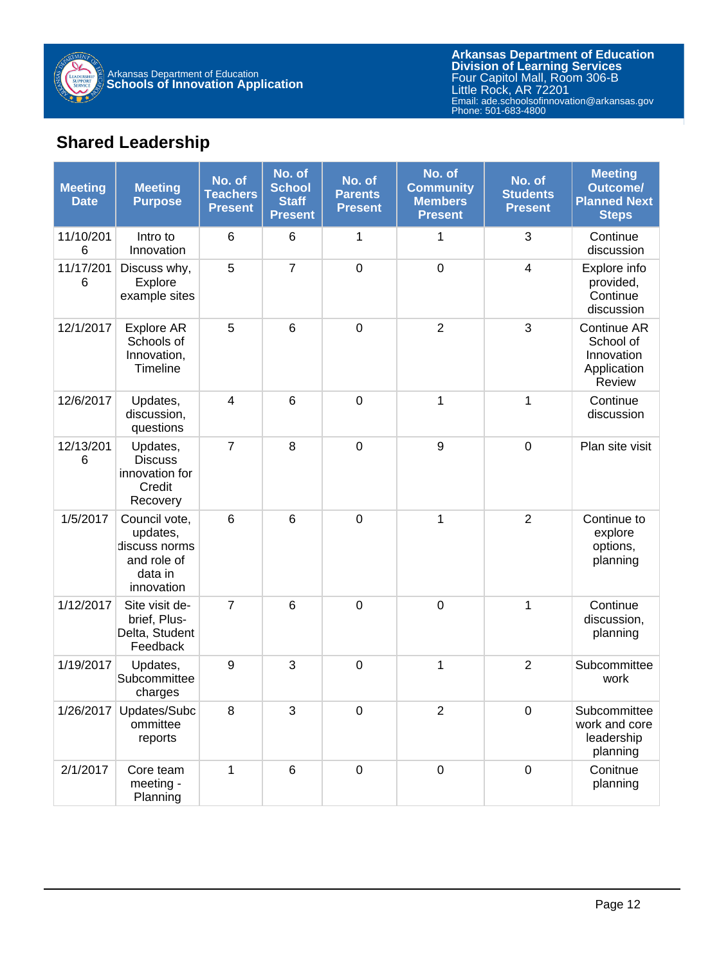

## **Shared Leadership**

| <b>Meeting</b><br><b>Date</b> | <b>Meeting</b><br><b>Purpose</b>                                                   | No. of<br><b>Teachers</b><br><b>Present</b> | No. of<br><b>School</b><br><b>Staff</b><br><b>Present</b> | No. of<br><b>Parents</b><br><b>Present</b> | No. of<br><b>Community</b><br><b>Members</b><br><b>Present</b> | No. of<br><b>Students</b><br><b>Present</b> | <b>Meeting</b><br><b>Outcome/</b><br><b>Planned Next</b><br><b>Steps</b> |
|-------------------------------|------------------------------------------------------------------------------------|---------------------------------------------|-----------------------------------------------------------|--------------------------------------------|----------------------------------------------------------------|---------------------------------------------|--------------------------------------------------------------------------|
| 11/10/201<br>6                | Intro to<br>Innovation                                                             | 6                                           | 6                                                         | 1                                          | 1                                                              | 3                                           | Continue<br>discussion                                                   |
| 11/17/201<br>6                | Discuss why,<br>Explore<br>example sites                                           | 5                                           | $\overline{7}$                                            | $\mathbf 0$                                | $\mathbf 0$                                                    | 4                                           | Explore info<br>provided,<br>Continue<br>discussion                      |
| 12/1/2017                     | <b>Explore AR</b><br>Schools of<br>Innovation,<br><b>Timeline</b>                  | 5                                           | 6                                                         | $\mathbf 0$                                | $\overline{2}$                                                 | 3                                           | Continue AR<br>School of<br>Innovation<br>Application<br>Review          |
| 12/6/2017                     | Updates,<br>discussion,<br>questions                                               | $\overline{\mathbf{4}}$                     | 6                                                         | $\mathbf 0$                                | 1                                                              | $\mathbf{1}$                                | Continue<br>discussion                                                   |
| 12/13/201<br>6                | Updates,<br><b>Discuss</b><br>innovation for<br>Credit<br>Recovery                 | $\overline{7}$                              | 8                                                         | $\boldsymbol{0}$                           | 9                                                              | $\mathbf 0$                                 | Plan site visit                                                          |
| 1/5/2017                      | Council vote,<br>updates,<br>discuss norms<br>and role of<br>data in<br>innovation | 6                                           | 6                                                         | $\mathbf 0$                                | 1                                                              | $\overline{2}$                              | Continue to<br>explore<br>options,<br>planning                           |
| 1/12/2017                     | Site visit de-<br>brief, Plus-<br>Delta, Student<br>Feedback                       | $\overline{7}$                              | 6                                                         | $\mathbf 0$                                | $\mathbf 0$                                                    | 1                                           | Continue<br>discussion,<br>planning                                      |
| 1/19/2017                     | Updates,<br>Subcommittee<br>charges                                                | 9                                           | 3                                                         | $\mathbf 0$                                | 1                                                              | $\overline{2}$                              | Subcommittee<br>work                                                     |
|                               | 1/26/2017 Updates/Subc<br>ommittee<br>reports                                      | 8                                           | 3                                                         | $\mathsf 0$                                | $\overline{c}$                                                 | $\pmb{0}$                                   | Subcommittee<br>work and core<br>leadership<br>planning                  |
| 2/1/2017                      | Core team<br>meeting -<br>Planning                                                 | 1                                           | $\,6$                                                     | $\pmb{0}$                                  | $\pmb{0}$                                                      | $\mathbf 0$                                 | Conitnue<br>planning                                                     |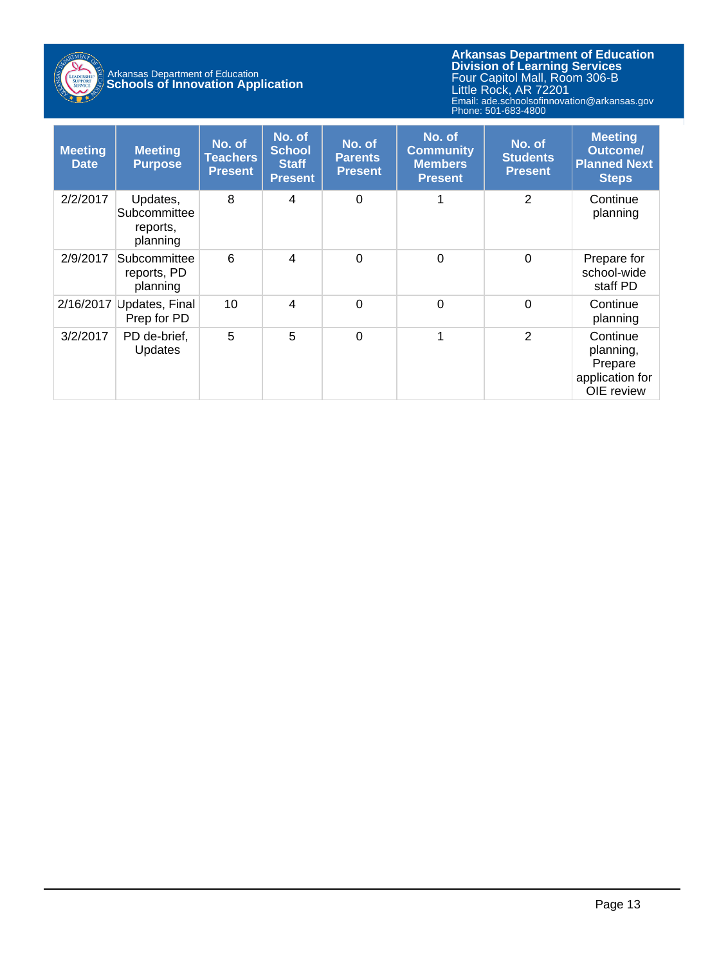

| <b>Meeting</b><br><b>Date</b> | <b>Meeting</b><br><b>Purpose</b>                 | No. of<br>Teachers<br><b>Present</b> | No. of<br><b>School</b><br><b>Staff</b><br><b>Present</b> | No. of<br><b>Parents</b><br><b>Present</b> | No. of<br><b>Community</b><br><b>Members</b><br><b>Present</b> | No. of<br><b>Students</b><br><b>Present</b> | <b>Meeting</b><br><b>Outcome/</b><br><b>Planned Next</b><br><b>Steps</b> |
|-------------------------------|--------------------------------------------------|--------------------------------------|-----------------------------------------------------------|--------------------------------------------|----------------------------------------------------------------|---------------------------------------------|--------------------------------------------------------------------------|
| 2/2/2017                      | Updates,<br>Subcommittee<br>reports,<br>planning | 8                                    | 4                                                         | $\Omega$                                   | 1                                                              | 2                                           | Continue<br>planning                                                     |
| 2/9/2017                      | Subcommittee<br>reports, PD<br>planning          | 6                                    | 4                                                         | $\Omega$                                   | $\Omega$                                                       | $\Omega$                                    | Prepare for<br>school-wide<br>staff PD                                   |
| 2/16/2017                     | Updates, Final<br>Prep for PD                    | 10                                   | 4                                                         | $\Omega$                                   | $\Omega$                                                       | $\Omega$                                    | Continue<br>planning                                                     |
| 3/2/2017                      | PD de-brief,<br><b>Updates</b>                   | 5                                    | 5                                                         | $\Omega$                                   | 1                                                              | 2                                           | Continue<br>planning,<br>Prepare<br>application for<br>OIE review        |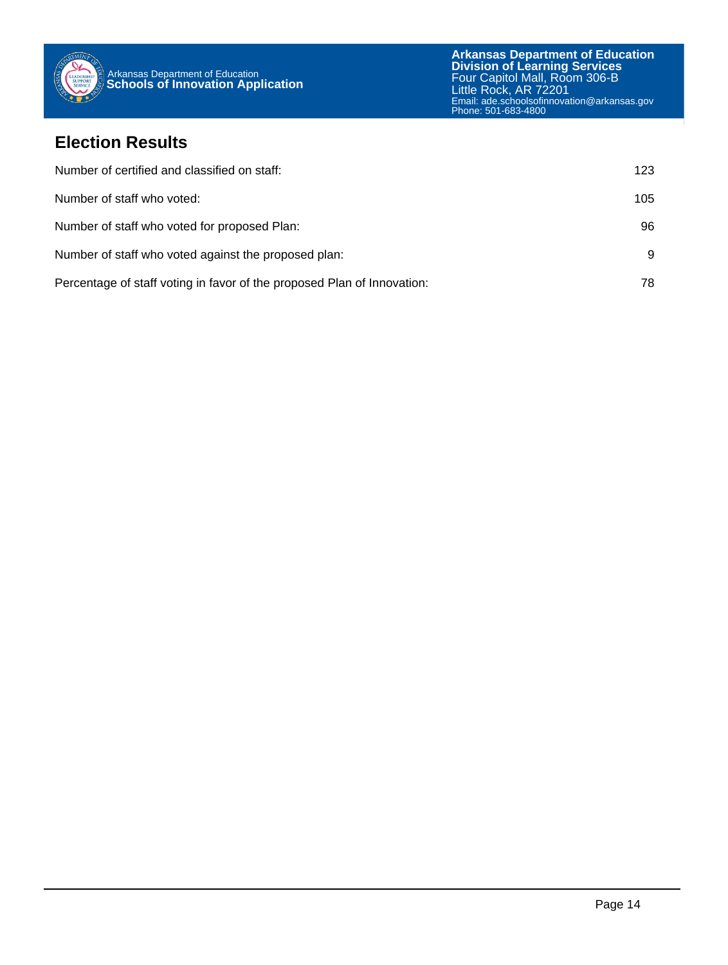

#### **Election Results**

| Number of certified and classified on staff:                            | 123. |
|-------------------------------------------------------------------------|------|
| Number of staff who voted:                                              | 105  |
| Number of staff who voted for proposed Plan:                            | 96   |
| Number of staff who voted against the proposed plan:                    | 9    |
| Percentage of staff voting in favor of the proposed Plan of Innovation: | 78.  |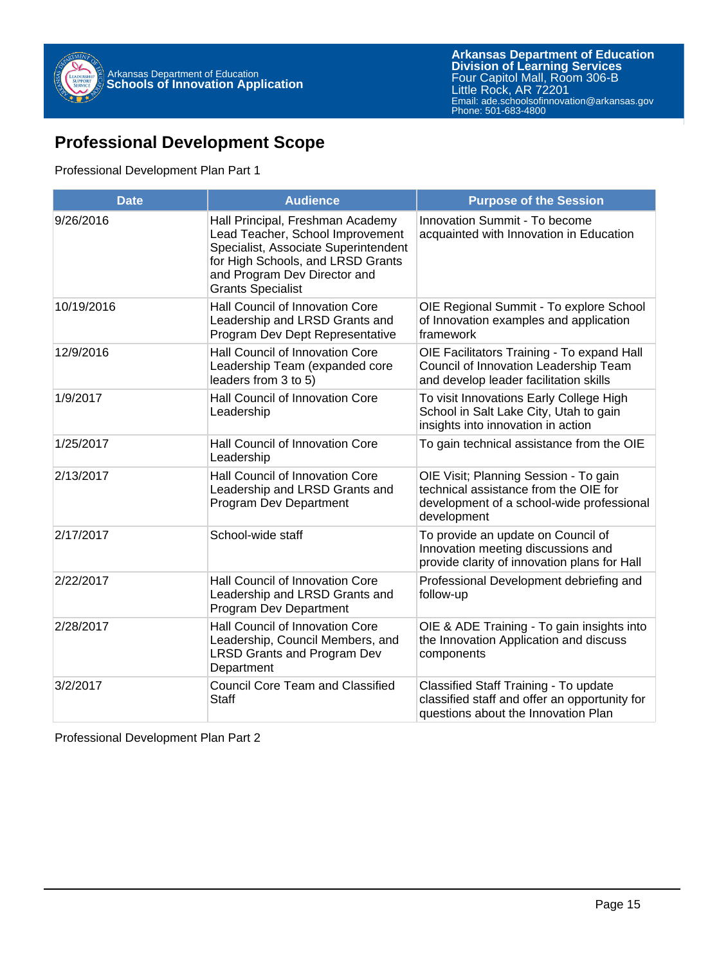

### **Professional Development Scope**

#### Professional Development Plan Part 1

| <b>Date</b> | <b>Audience</b>                                                                                                                                                                                               | <b>Purpose of the Session</b>                                                                                                              |
|-------------|---------------------------------------------------------------------------------------------------------------------------------------------------------------------------------------------------------------|--------------------------------------------------------------------------------------------------------------------------------------------|
| 9/26/2016   | Hall Principal, Freshman Academy<br>Lead Teacher, School Improvement<br>Specialist, Associate Superintendent<br>for High Schools, and LRSD Grants<br>and Program Dev Director and<br><b>Grants Specialist</b> | Innovation Summit - To become<br>acquainted with Innovation in Education                                                                   |
| 10/19/2016  | <b>Hall Council of Innovation Core</b><br>Leadership and LRSD Grants and<br>Program Dev Dept Representative                                                                                                   | OIE Regional Summit - To explore School<br>of Innovation examples and application<br>framework                                             |
| 12/9/2016   | Hall Council of Innovation Core<br>Leadership Team (expanded core<br>leaders from 3 to 5)                                                                                                                     | OIE Facilitators Training - To expand Hall<br>Council of Innovation Leadership Team<br>and develop leader facilitation skills              |
| 1/9/2017    | Hall Council of Innovation Core<br>Leadership                                                                                                                                                                 | To visit Innovations Early College High<br>School in Salt Lake City, Utah to gain<br>insights into innovation in action                    |
| 1/25/2017   | Hall Council of Innovation Core<br>Leadership                                                                                                                                                                 | To gain technical assistance from the OIE                                                                                                  |
| 2/13/2017   | Hall Council of Innovation Core<br>Leadership and LRSD Grants and<br>Program Dev Department                                                                                                                   | OIE Visit; Planning Session - To gain<br>technical assistance from the OIE for<br>development of a school-wide professional<br>development |
| 2/17/2017   | School-wide staff                                                                                                                                                                                             | To provide an update on Council of<br>Innovation meeting discussions and<br>provide clarity of innovation plans for Hall                   |
| 2/22/2017   | Hall Council of Innovation Core<br>Leadership and LRSD Grants and<br>Program Dev Department                                                                                                                   | Professional Development debriefing and<br>follow-up                                                                                       |
| 2/28/2017   | <b>Hall Council of Innovation Core</b><br>Leadership, Council Members, and<br><b>LRSD Grants and Program Dev</b><br>Department                                                                                | OIE & ADE Training - To gain insights into<br>the Innovation Application and discuss<br>components                                         |
| 3/2/2017    | <b>Council Core Team and Classified</b><br><b>Staff</b>                                                                                                                                                       | Classified Staff Training - To update<br>classified staff and offer an opportunity for<br>questions about the Innovation Plan              |

Professional Development Plan Part 2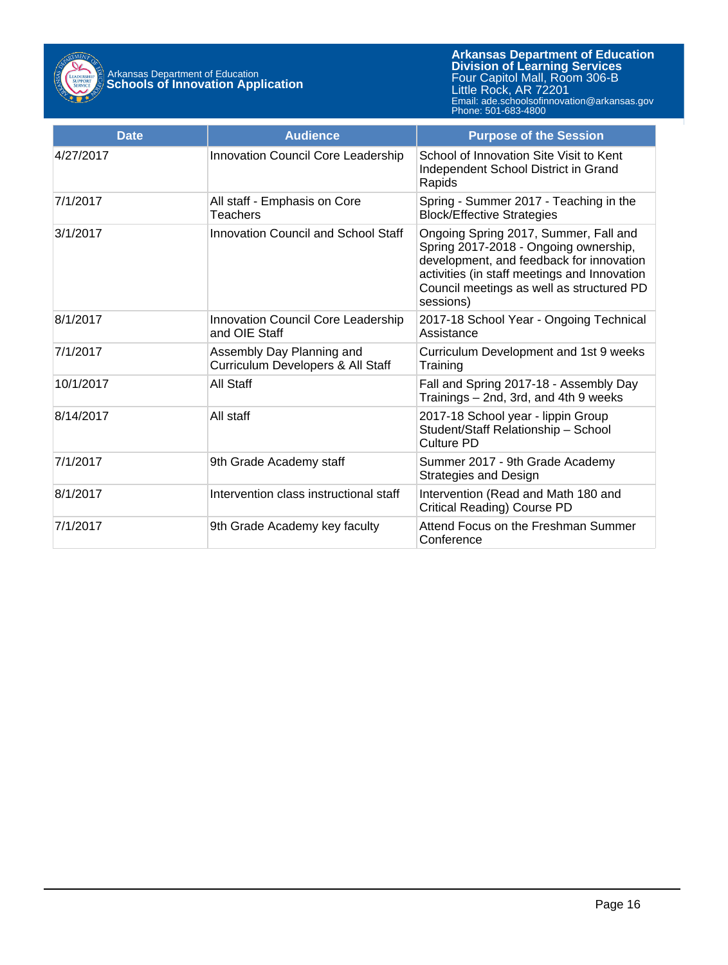

| <b>Date</b> | <b>Audience</b>                                                | <b>Purpose of the Session</b>                                                                                                                                                                                                        |
|-------------|----------------------------------------------------------------|--------------------------------------------------------------------------------------------------------------------------------------------------------------------------------------------------------------------------------------|
| 4/27/2017   | <b>Innovation Council Core Leadership</b>                      | School of Innovation Site Visit to Kent<br>Independent School District in Grand<br>Rapids                                                                                                                                            |
| 7/1/2017    | All staff - Emphasis on Core<br><b>Teachers</b>                | Spring - Summer 2017 - Teaching in the<br><b>Block/Effective Strategies</b>                                                                                                                                                          |
| 3/1/2017    | <b>Innovation Council and School Staff</b>                     | Ongoing Spring 2017, Summer, Fall and<br>Spring 2017-2018 - Ongoing ownership,<br>development, and feedback for innovation<br>activities (in staff meetings and Innovation<br>Council meetings as well as structured PD<br>sessions) |
| 8/1/2017    | Innovation Council Core Leadership<br>and OIE Staff            | 2017-18 School Year - Ongoing Technical<br>Assistance                                                                                                                                                                                |
| 7/1/2017    | Assembly Day Planning and<br>Curriculum Developers & All Staff | Curriculum Development and 1st 9 weeks<br>Training                                                                                                                                                                                   |
| 10/1/2017   | All Staff                                                      | Fall and Spring 2017-18 - Assembly Day<br>Trainings - 2nd, 3rd, and 4th 9 weeks                                                                                                                                                      |
| 8/14/2017   | All staff                                                      | 2017-18 School year - lippin Group<br>Student/Staff Relationship - School<br><b>Culture PD</b>                                                                                                                                       |
| 7/1/2017    | 9th Grade Academy staff                                        | Summer 2017 - 9th Grade Academy<br><b>Strategies and Design</b>                                                                                                                                                                      |
| 8/1/2017    | Intervention class instructional staff                         | Intervention (Read and Math 180 and<br>Critical Reading) Course PD                                                                                                                                                                   |
| 7/1/2017    | 9th Grade Academy key faculty                                  | Attend Focus on the Freshman Summer<br>Conference                                                                                                                                                                                    |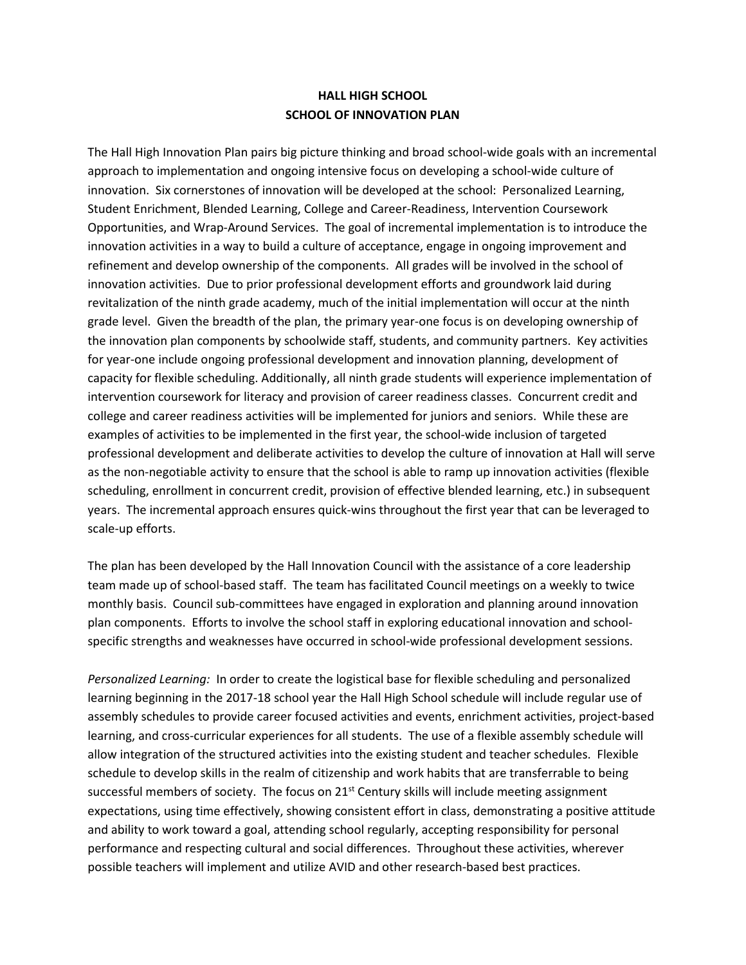#### **HALL HIGH SCHOOL SCHOOL OF INNOVATION PLAN**

The Hall High Innovation Plan pairs big picture thinking and broad school-wide goals with an incremental approach to implementation and ongoing intensive focus on developing a school-wide culture of innovation. Six cornerstones of innovation will be developed at the school: Personalized Learning, Student Enrichment, Blended Learning, College and Career-Readiness, Intervention Coursework Opportunities, and Wrap-Around Services. The goal of incremental implementation is to introduce the innovation activities in a way to build a culture of acceptance, engage in ongoing improvement and refinement and develop ownership of the components. All grades will be involved in the school of innovation activities. Due to prior professional development efforts and groundwork laid during revitalization of the ninth grade academy, much of the initial implementation will occur at the ninth grade level. Given the breadth of the plan, the primary year-one focus is on developing ownership of the innovation plan components by schoolwide staff, students, and community partners. Key activities for year-one include ongoing professional development and innovation planning, development of capacity for flexible scheduling. Additionally, all ninth grade students will experience implementation of intervention coursework for literacy and provision of career readiness classes. Concurrent credit and college and career readiness activities will be implemented for juniors and seniors. While these are examples of activities to be implemented in the first year, the school-wide inclusion of targeted professional development and deliberate activities to develop the culture of innovation at Hall will serve as the non-negotiable activity to ensure that the school is able to ramp up innovation activities (flexible scheduling, enrollment in concurrent credit, provision of effective blended learning, etc.) in subsequent years. The incremental approach ensures quick-wins throughout the first year that can be leveraged to scale-up efforts.

The plan has been developed by the Hall Innovation Council with the assistance of a core leadership team made up of school-based staff. The team has facilitated Council meetings on a weekly to twice monthly basis. Council sub-committees have engaged in exploration and planning around innovation plan components. Efforts to involve the school staff in exploring educational innovation and schoolspecific strengths and weaknesses have occurred in school-wide professional development sessions.

*Personalized Learning:* In order to create the logistical base for flexible scheduling and personalized learning beginning in the 2017-18 school year the Hall High School schedule will include regular use of assembly schedules to provide career focused activities and events, enrichment activities, project-based learning, and cross-curricular experiences for all students. The use of a flexible assembly schedule will allow integration of the structured activities into the existing student and teacher schedules. Flexible schedule to develop skills in the realm of citizenship and work habits that are transferrable to being successful members of society. The focus on  $21<sup>st</sup>$  Century skills will include meeting assignment expectations, using time effectively, showing consistent effort in class, demonstrating a positive attitude and ability to work toward a goal, attending school regularly, accepting responsibility for personal performance and respecting cultural and social differences. Throughout these activities, wherever possible teachers will implement and utilize AVID and other research-based best practices.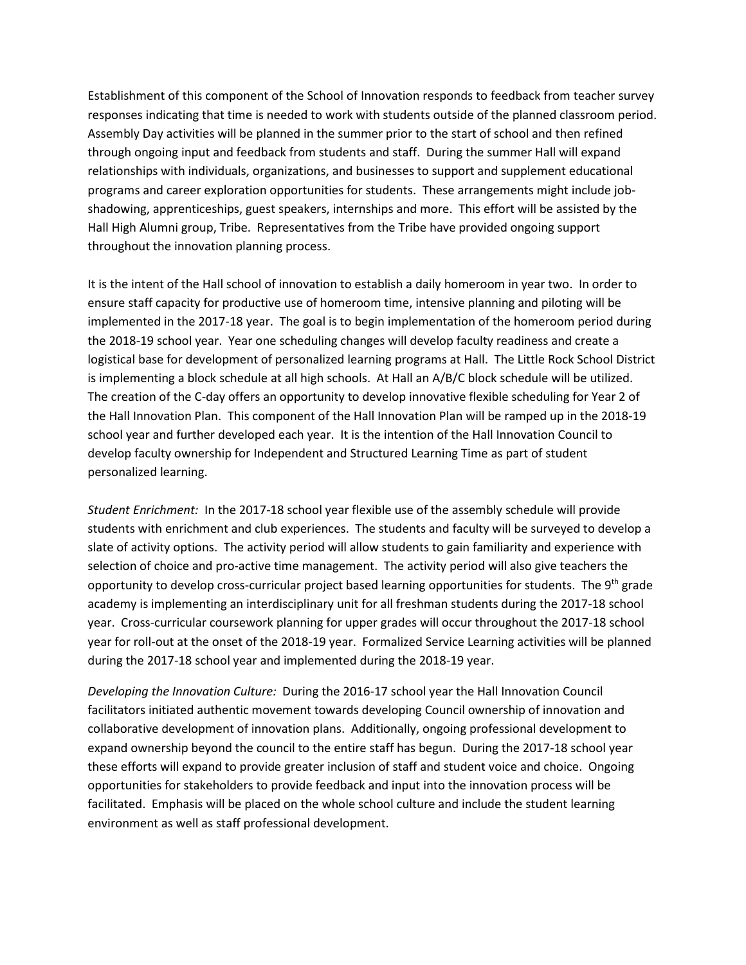Establishment of this component of the School of Innovation responds to feedback from teacher survey responses indicating that time is needed to work with students outside of the planned classroom period. Assembly Day activities will be planned in the summer prior to the start of school and then refined through ongoing input and feedback from students and staff. During the summer Hall will expand relationships with individuals, organizations, and businesses to support and supplement educational programs and career exploration opportunities for students. These arrangements might include jobshadowing, apprenticeships, guest speakers, internships and more. This effort will be assisted by the Hall High Alumni group, Tribe. Representatives from the Tribe have provided ongoing support throughout the innovation planning process.

It is the intent of the Hall school of innovation to establish a daily homeroom in year two. In order to ensure staff capacity for productive use of homeroom time, intensive planning and piloting will be implemented in the 2017-18 year. The goal is to begin implementation of the homeroom period during the 2018-19 school year. Year one scheduling changes will develop faculty readiness and create a logistical base for development of personalized learning programs at Hall. The Little Rock School District is implementing a block schedule at all high schools. At Hall an A/B/C block schedule will be utilized. The creation of the C-day offers an opportunity to develop innovative flexible scheduling for Year 2 of the Hall Innovation Plan. This component of the Hall Innovation Plan will be ramped up in the 2018-19 school year and further developed each year. It is the intention of the Hall Innovation Council to develop faculty ownership for Independent and Structured Learning Time as part of student personalized learning.

*Student Enrichment:* In the 2017-18 school year flexible use of the assembly schedule will provide students with enrichment and club experiences. The students and faculty will be surveyed to develop a slate of activity options. The activity period will allow students to gain familiarity and experience with selection of choice and pro-active time management. The activity period will also give teachers the opportunity to develop cross-curricular project based learning opportunities for students. The  $9<sup>th</sup>$  grade academy is implementing an interdisciplinary unit for all freshman students during the 2017-18 school year. Cross-curricular coursework planning for upper grades will occur throughout the 2017-18 school year for roll-out at the onset of the 2018-19 year. Formalized Service Learning activities will be planned during the 2017-18 school year and implemented during the 2018-19 year.

*Developing the Innovation Culture:* During the 2016-17 school year the Hall Innovation Council facilitators initiated authentic movement towards developing Council ownership of innovation and collaborative development of innovation plans. Additionally, ongoing professional development to expand ownership beyond the council to the entire staff has begun. During the 2017-18 school year these efforts will expand to provide greater inclusion of staff and student voice and choice. Ongoing opportunities for stakeholders to provide feedback and input into the innovation process will be facilitated. Emphasis will be placed on the whole school culture and include the student learning environment as well as staff professional development.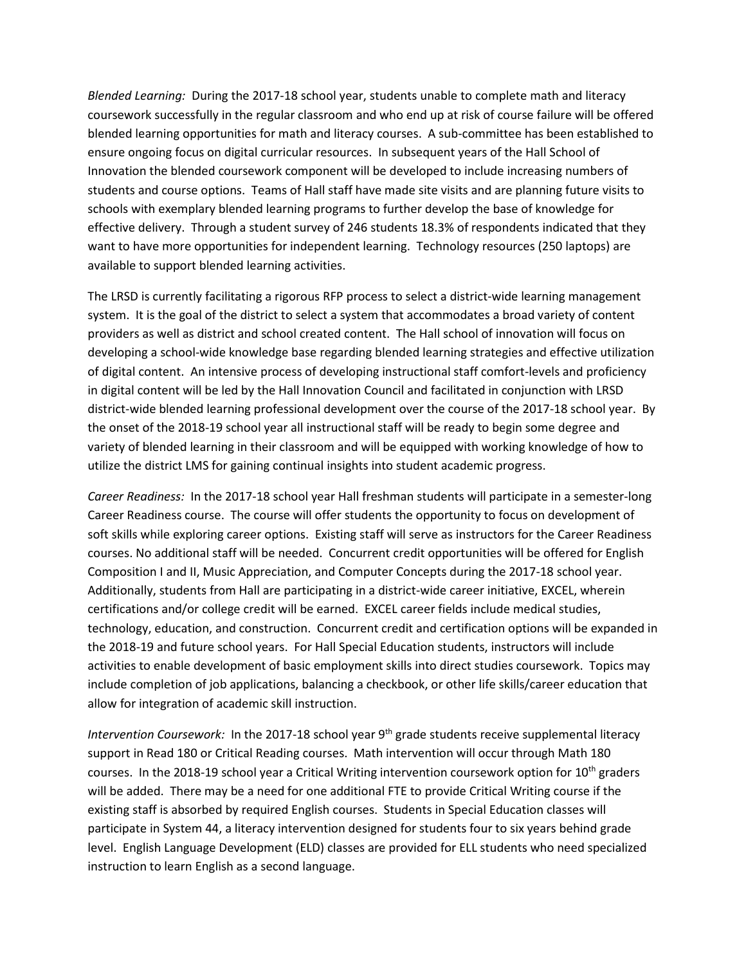*Blended Learning:* During the 2017-18 school year, students unable to complete math and literacy coursework successfully in the regular classroom and who end up at risk of course failure will be offered blended learning opportunities for math and literacy courses. A sub-committee has been established to ensure ongoing focus on digital curricular resources. In subsequent years of the Hall School of Innovation the blended coursework component will be developed to include increasing numbers of students and course options. Teams of Hall staff have made site visits and are planning future visits to schools with exemplary blended learning programs to further develop the base of knowledge for effective delivery. Through a student survey of 246 students 18.3% of respondents indicated that they want to have more opportunities for independent learning. Technology resources (250 laptops) are available to support blended learning activities.

The LRSD is currently facilitating a rigorous RFP process to select a district-wide learning management system. It is the goal of the district to select a system that accommodates a broad variety of content providers as well as district and school created content. The Hall school of innovation will focus on developing a school-wide knowledge base regarding blended learning strategies and effective utilization of digital content. An intensive process of developing instructional staff comfort-levels and proficiency in digital content will be led by the Hall Innovation Council and facilitated in conjunction with LRSD district-wide blended learning professional development over the course of the 2017-18 school year. By the onset of the 2018-19 school year all instructional staff will be ready to begin some degree and variety of blended learning in their classroom and will be equipped with working knowledge of how to utilize the district LMS for gaining continual insights into student academic progress.

*Career Readiness:* In the 2017-18 school year Hall freshman students will participate in a semester-long Career Readiness course. The course will offer students the opportunity to focus on development of soft skills while exploring career options. Existing staff will serve as instructors for the Career Readiness courses. No additional staff will be needed. Concurrent credit opportunities will be offered for English Composition I and II, Music Appreciation, and Computer Concepts during the 2017-18 school year. Additionally, students from Hall are participating in a district-wide career initiative, EXCEL, wherein certifications and/or college credit will be earned. EXCEL career fields include medical studies, technology, education, and construction. Concurrent credit and certification options will be expanded in the 2018-19 and future school years. For Hall Special Education students, instructors will include activities to enable development of basic employment skills into direct studies coursework. Topics may include completion of job applications, balancing a checkbook, or other life skills/career education that allow for integration of academic skill instruction.

*Intervention Coursework:* In the 2017-18 school year 9th grade students receive supplemental literacy support in Read 180 or Critical Reading courses. Math intervention will occur through Math 180 courses. In the 2018-19 school year a Critical Writing intervention coursework option for 10<sup>th</sup> graders will be added. There may be a need for one additional FTE to provide Critical Writing course if the existing staff is absorbed by required English courses. Students in Special Education classes will participate in System 44, a literacy intervention designed for students four to six years behind grade level. English Language Development (ELD) classes are provided for ELL students who need specialized instruction to learn English as a second language.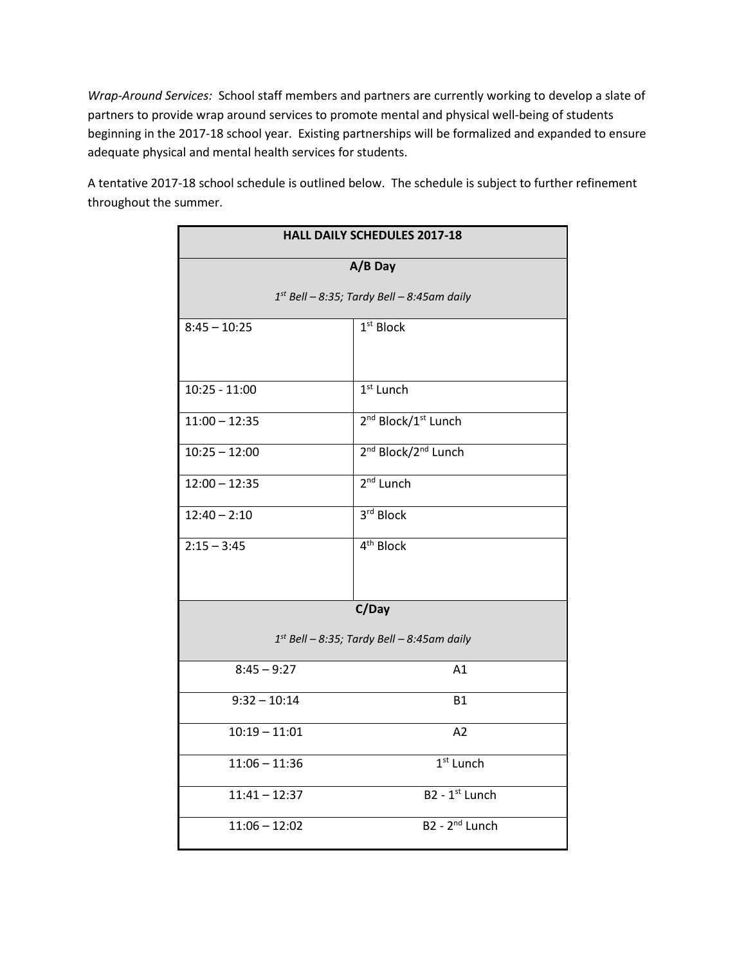*Wrap-Around Services:* School staff members and partners are currently working to develop a slate of partners to provide wrap around services to promote mental and physical well-being of students beginning in the 2017-18 school year. Existing partnerships will be formalized and expanded to ensure adequate physical and mental health services for students.

A tentative 2017-18 school schedule is outlined below. The schedule is subject to further refinement throughout the summer.

| <b>HALL DAILY SCHEDULES 2017-18</b>             |                                             |  |
|-------------------------------------------------|---------------------------------------------|--|
| $A/B$ Day                                       |                                             |  |
| $1^{st}$ Bell - 8:35; Tardy Bell - 8:45am daily |                                             |  |
| $8:45 - 10:25$                                  | 1 <sup>st</sup> Block                       |  |
|                                                 |                                             |  |
| $10:25 - 11:00$                                 | 1 <sup>st</sup> Lunch                       |  |
| $11:00 - 12:35$                                 | 2 <sup>nd</sup> Block/1 <sup>st</sup> Lunch |  |
| $10:25 - 12:00$                                 | 2 <sup>nd</sup> Block/2 <sup>nd</sup> Lunch |  |
| $12:00 - 12:35$                                 | $2nd$ Lunch                                 |  |
| $12:40 - 2:10$                                  | 3rd Block                                   |  |
| $2:15 - 3:45$                                   | 4 <sup>th</sup> Block                       |  |
|                                                 |                                             |  |
| C/Day                                           |                                             |  |
| $1^{st}$ Bell - 8:35; Tardy Bell - 8:45am daily |                                             |  |
| $8:45 - 9:27$                                   | A1                                          |  |
| $9:32 - 10:14$                                  | <b>B1</b>                                   |  |
| $10:19 - 11:01$                                 | A2                                          |  |
| $11:06 - 11:36$                                 | $1st$ Lunch                                 |  |
| $11:41 - 12:37$                                 | $B2 - 1st$ Lunch                            |  |
| $11:06 - 12:02$                                 | B <sub>2</sub> - 2 <sup>nd</sup> Lunch      |  |